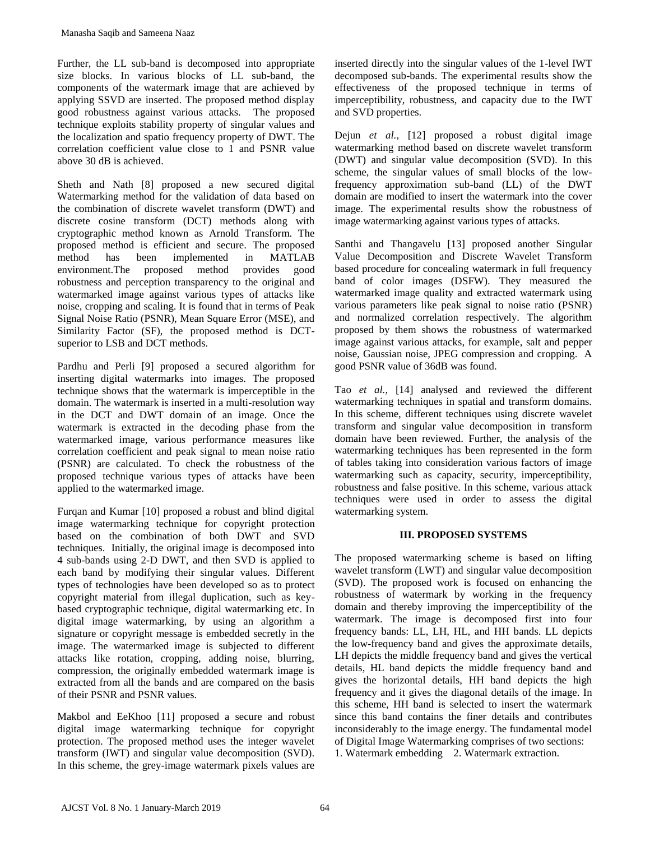Further, the LL sub-band is decomposed into appropriate size blocks. In various blocks of LL sub-band, the components of the watermark image that are achieved by applying SSVD are inserted. The proposed method display good robustness against various attacks. The proposed technique exploits stability property of singular values and the localization and spatio frequency property of DWT. The correlation coefficient value close to 1 and PSNR value above 30 dB is achieved.

Sheth and Nath [8] proposed a new secured digital Watermarking method for the validation of data based on the combination of discrete wavelet transform (DWT) and discrete cosine transform (DCT) methods along with cryptographic method known as Arnold Transform. The proposed method is efficient and secure. The proposed method has been implemented in MATLAB environment.The proposed method provides good robustness and perception transparency to the original and watermarked image against various types of attacks like noise, cropping and scaling. It is found that in terms of Peak Signal Noise Ratio (PSNR), Mean Square Error (MSE), and Similarity Factor (SF), the proposed method is DCTsuperior to LSB and DCT methods.

Pardhu and Perli [9] proposed a secured algorithm for inserting digital watermarks into images. The proposed technique shows that the watermark is imperceptible in the domain. The watermark is inserted in a multi-resolution way in the DCT and DWT domain of an image. Once the watermark is extracted in the decoding phase from the watermarked image, various performance measures like correlation coefficient and peak signal to mean noise ratio (PSNR) are calculated. To check the robustness of the proposed technique various types of attacks have been applied to the watermarked image.

Furqan and Kumar [10] proposed a robust and blind digital image watermarking technique for copyright protection based on the combination of both DWT and SVD techniques. Initially, the original image is decomposed into 4 sub-bands using 2-D DWT, and then SVD is applied to each band by modifying their singular values. Different types of technologies have been developed so as to protect copyright material from illegal duplication, such as keybased cryptographic technique, digital watermarking etc. In digital image watermarking, by using an algorithm a signature or copyright message is embedded secretly in the image. The watermarked image is subjected to different attacks like rotation, cropping, adding noise, blurring, compression, the originally embedded watermark image is extracted from all the bands and are compared on the basis of their PSNR and PSNR values. Manasha Saqib and Sameena Naaz<br>
"wires, the LL, sub-band is seconnyosed into appropriate<br>
"iric, blocks. In various blocks of LL sub-band the<br>
proprints of the winternant image that are achieved by<br>
proprints of the winter

Makbol and EeKhoo [11] proposed a secure and robust digital image watermarking technique for copyright protection. The proposed method uses the integer wavelet transform (IWT) and singular value decomposition (SVD). In this scheme, the grey-image watermark pixels values are inserted directly into the singular values of the 1-level IWT decomposed sub-bands. The experimental results show the effectiveness of the proposed technique in terms of imperceptibility, robustness, and capacity due to the IWT and SVD properties.

Dejun *et al.,* [12] proposed a robust digital image watermarking method based on discrete wavelet transform (DWT) and singular value decomposition (SVD). In this scheme, the singular values of small blocks of the lowfrequency approximation sub-band (LL) of the DWT domain are modified to insert the watermark into the cover image. The experimental results show the robustness of image watermarking against various types of attacks.

Santhi and Thangavelu [13] proposed another Singular Value Decomposition and Discrete Wavelet Transform based procedure for concealing watermark in full frequency band of color images (DSFW). They measured the watermarked image quality and extracted watermark using various parameters like peak signal to noise ratio (PSNR) and normalized correlation respectively. The algorithm proposed by them shows the robustness of watermarked image against various attacks, for example, salt and pepper noise, Gaussian noise, JPEG compression and cropping. A good PSNR value of 36dB was found.

Tao *et al.,* [14] analysed and reviewed the different watermarking techniques in spatial and transform domains. In this scheme, different techniques using discrete wavelet transform and singular value decomposition in transform domain have been reviewed. Further, the analysis of the watermarking techniques has been represented in the form of tables taking into consideration various factors of image watermarking such as capacity, security, imperceptibility, robustness and false positive. In this scheme, various attack techniques were used in order to assess the digital watermarking system.

## **III. PROPOSED SYSTEMS**

The proposed watermarking scheme is based on lifting wavelet transform (LWT) and singular value decomposition (SVD). The proposed work is focused on enhancing the robustness of watermark by working in the frequency domain and thereby improving the imperceptibility of the watermark. The image is decomposed first into four frequency bands: LL, LH, HL, and HH bands. LL depicts the low-frequency band and gives the approximate details, LH depicts the middle frequency band and gives the vertical details, HL band depicts the middle frequency band and gives the horizontal details, HH band depicts the high frequency and it gives the diagonal details of the image. In this scheme, HH band is selected to insert the watermark since this band contains the finer details and contributes inconsiderably to the image energy. The fundamental model of Digital Image Watermarking comprises of two sections: 1. Watermark embedding 2. Watermark extraction.